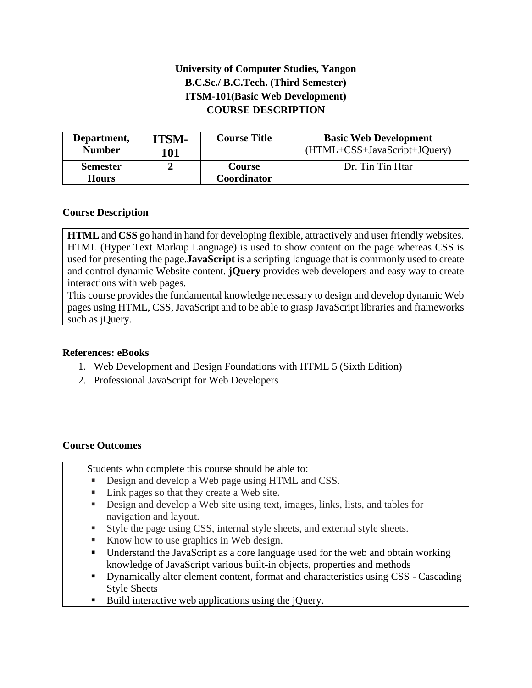# **University of Computer Studies, Yangon B.C.Sc./ B.C.Tech. (Third Semester) ITSM-101(Basic Web Development) COURSE DESCRIPTION**

| Department,                     | ITSM- | <b>Course Title</b>          | <b>Basic Web Development</b> |
|---------------------------------|-------|------------------------------|------------------------------|
| <b>Number</b>                   | 101   |                              | (HTML+CSS+JavaScript+JQuery) |
| <b>Semester</b><br><b>Hours</b> |       | <b>Course</b><br>Coordinator | Dr. Tin Tin Htar             |

# **Course Description**

**HTML** and **CSS** go hand in hand for developing flexible, attractively and user friendly websites. HTML (Hyper Text Markup Language) is used to show content on the page whereas CSS is used for presenting the page.**JavaScript** is a scripting language that is commonly used to create and control dynamic Website content. **jQuery** provides web developers and easy way to create interactions with web pages.

This course provides the fundamental knowledge necessary to design and develop dynamic Web pages using HTML, CSS, JavaScript and to be able to grasp JavaScript libraries and frameworks such as jQuery.

### **References: eBooks**

- 1. Web Development and Design Foundations with HTML 5 (Sixth Edition)
- 2. Professional JavaScript for Web Developers

### **Course Outcomes**

Students who complete this course should be able to:

- Design and develop a Web page using HTML and CSS.
- Link pages so that they create a Web site.
- **EXECUTE:** Design and develop a Web site using text, images, links, lists, and tables for navigation and layout.
- Style the page using CSS, internal style sheets, and external style sheets.
- Know how to use graphics in Web design.
- Understand the JavaScript as a core language used for the web and obtain working knowledge of JavaScript various built-in objects, properties and methods
- **•** Dynamically alter element content, format and characteristics using CSS Cascading Style Sheets
- Build interactive web applications using the jQuery.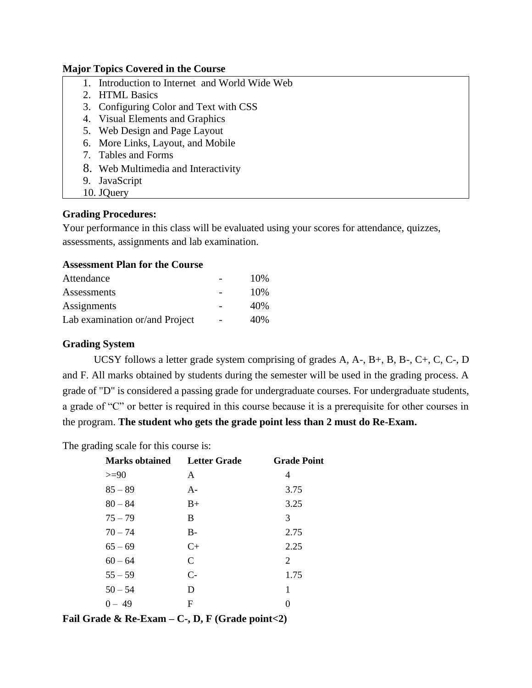#### **Major Topics Covered in the Course**

- 1. Introduction to Internet and World Wide Web
- 2. HTML Basics
- 3. Configuring Color and Text with CSS
- 4. Visual Elements and Graphics
- 5. Web Design and Page Layout
- 6. More Links, Layout, and Mobile
- 7. Tables and Forms
- 8. Web Multimedia and Interactivity
- 9. JavaScript
- 10. JQuery

### **Grading Procedures:**

Your performance in this class will be evaluated using your scores for attendance, quizzes, assessments, assignments and lab examination.

## **Assessment Plan for the Course**

| Attendance                     | 10\% |
|--------------------------------|------|
| Assessments                    | 10%  |
| Assignments                    | 40%  |
| Lab examination or/and Project | 40%  |

### **Grading System**

UCSY follows a letter grade system comprising of grades A, A-, B+, B, B-, C+, C, C-, D and F. All marks obtained by students during the semester will be used in the grading process. A grade of "D" is considered a passing grade for undergraduate courses. For undergraduate students, a grade of "C" or better is required in this course because it is a prerequisite for other courses in the program. **The student who gets the grade point less than 2 must do Re-Exam.**

The grading scale for this course is:

| <b>Marks obtained</b> | Letter Grade | <b>Grade Point</b> |
|-----------------------|--------------|--------------------|
| $>=$ 90               | A            | 4                  |
| $85 - 89$             | $A -$        | 3.75               |
| $80 - 84$             | $B+$         | 3.25               |
| $75 - 79$             | B            | 3                  |
| $70 - 74$             | $B -$        | 2.75               |
| $65 - 69$             | $C+$         | 2.25               |
| $60 - 64$             | $\mathsf{C}$ | 2                  |
| $55 - 59$             | $C-$         | 1.75               |
| $50 - 54$             | D            | 1                  |
| $0 - 49$              | F            | 0                  |

**Fail Grade & Re-Exam – C-, D, F (Grade point<2)**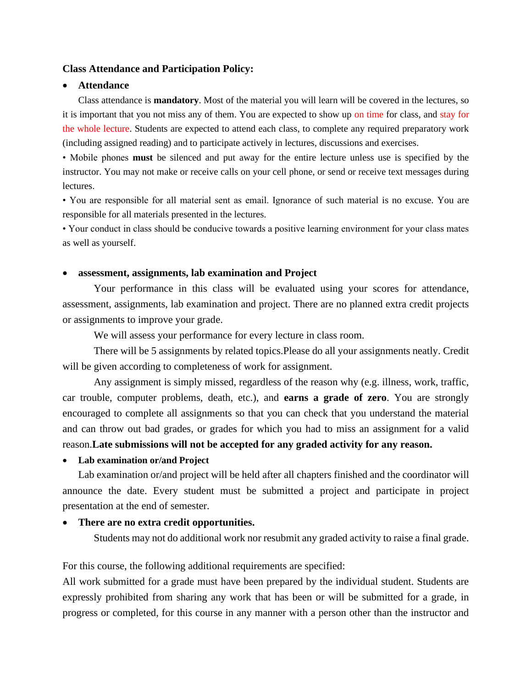#### **Class Attendance and Participation Policy:**

#### • **Attendance**

Class attendance is **mandatory**. Most of the material you will learn will be covered in the lectures, so it is important that you not miss any of them. You are expected to show up on time for class, and stay for the whole lecture. Students are expected to attend each class, to complete any required preparatory work (including assigned reading) and to participate actively in lectures, discussions and exercises.

• Mobile phones **must** be silenced and put away for the entire lecture unless use is specified by the instructor. You may not make or receive calls on your cell phone, or send or receive text messages during lectures.

• You are responsible for all material sent as email. Ignorance of such material is no excuse. You are responsible for all materials presented in the lectures.

• Your conduct in class should be conducive towards a positive learning environment for your class mates as well as yourself.

#### • **assessment, assignments, lab examination and Project**

Your performance in this class will be evaluated using your scores for attendance, assessment, assignments, lab examination and project. There are no planned extra credit projects or assignments to improve your grade.

We will assess your performance for every lecture in class room.

There will be 5 assignments by related topics.Please do all your assignments neatly. Credit will be given according to completeness of work for assignment.

Any assignment is simply missed, regardless of the reason why (e.g. illness, work, traffic, car trouble, computer problems, death, etc.), and **earns a grade of zero**. You are strongly encouraged to complete all assignments so that you can check that you understand the material and can throw out bad grades, or grades for which you had to miss an assignment for a valid reason.**Late submissions will not be accepted for any graded activity for any reason.**

• **Lab examination or/and Project**

Lab examination or/and project will be held after all chapters finished and the coordinator will announce the date. Every student must be submitted a project and participate in project presentation at the end of semester.

#### • **There are no extra credit opportunities.**

Students may not do additional work nor resubmit any graded activity to raise a final grade.

For this course, the following additional requirements are specified:

All work submitted for a grade must have been prepared by the individual student. Students are expressly prohibited from sharing any work that has been or will be submitted for a grade, in progress or completed, for this course in any manner with a person other than the instructor and